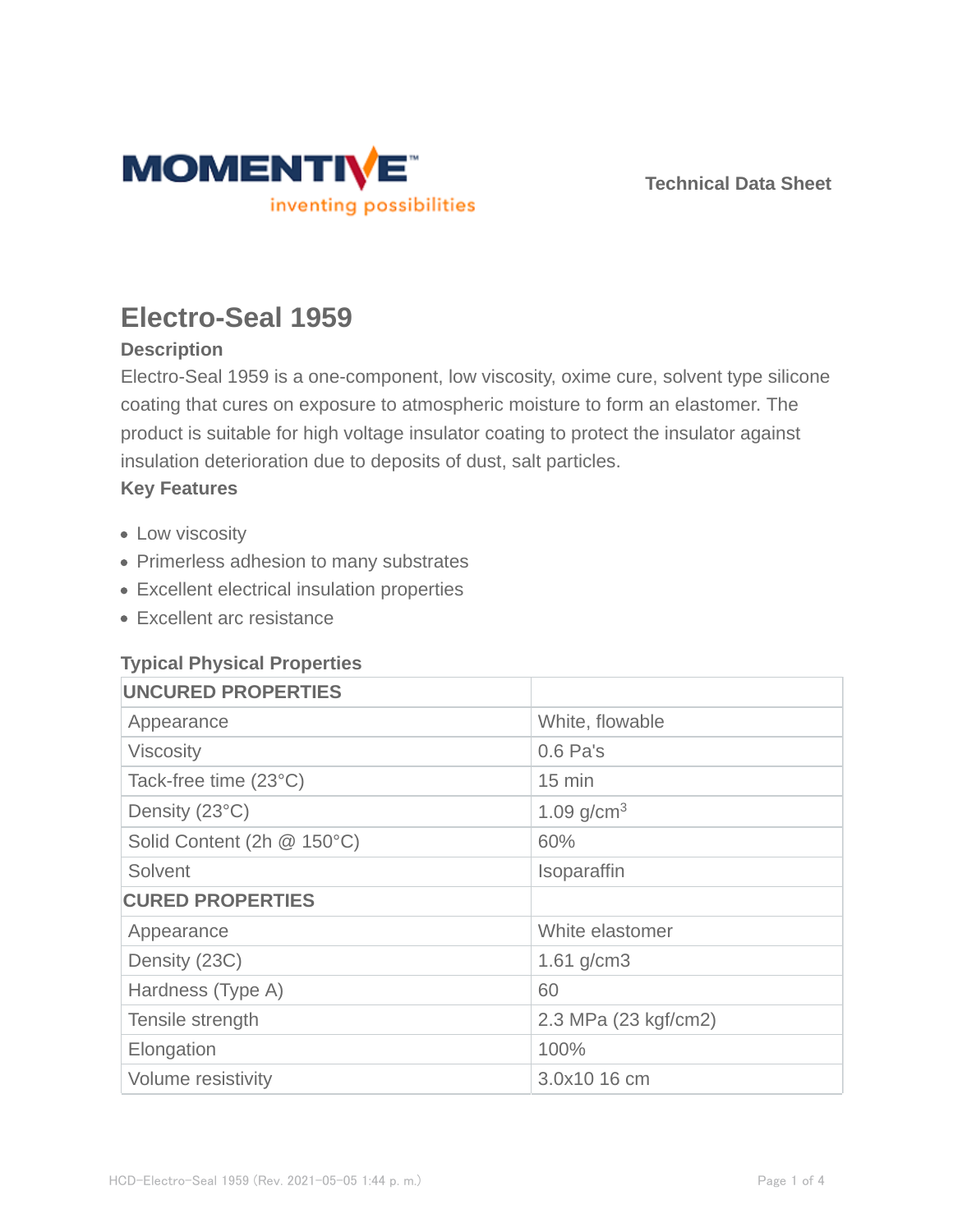

**Technical Data Sheet**

# **Electro-Seal 1959**

# **Description**

Electro-Seal 1959 is a one-component, low viscosity, oxime cure, solvent type silicone coating that cures on exposure to atmospheric moisture to form an elastomer. The product is suitable for high voltage insulator coating to protect the insulator against insulation deterioration due to deposits of dust, salt particles.

#### **Key Features**

- Low viscosity
- Primerless adhesion to many substrates
- Excellent electrical insulation properties
- Excellent arc resistance

## **Typical Physical Properties**

| <b>UNCURED PROPERTIES</b>  |                      |
|----------------------------|----------------------|
| Appearance                 | White, flowable      |
| <b>Viscosity</b>           | $0.6$ Pa's           |
| Tack-free time (23°C)      | $15 \text{ min}$     |
| Density (23°C)             | 1.09 $g/cm^{3}$      |
| Solid Content (2h @ 150°C) | 60%                  |
| Solvent                    | Isoparaffin          |
| <b>CURED PROPERTIES</b>    |                      |
| Appearance                 | White elastomer      |
| Density (23C)              | 1.61 $g/cm3$         |
| Hardness (Type A)          | 60                   |
| Tensile strength           | 2.3 MPa (23 kgf/cm2) |
| Elongation                 | 100%                 |
| Volume resistivity         | 3.0x10 16 cm         |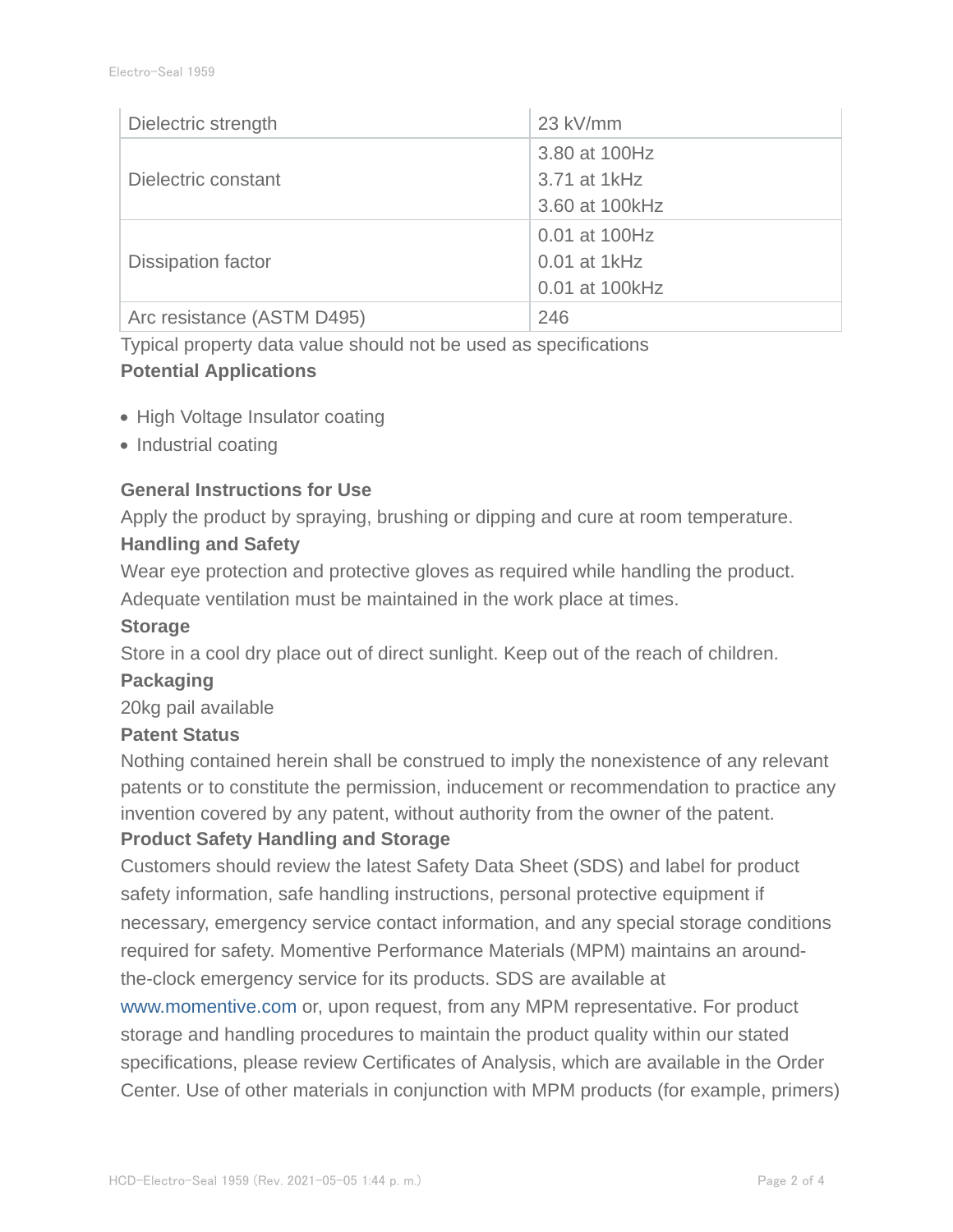| Dielectric strength        | 23 kV/mm        |
|----------------------------|-----------------|
|                            | 3.80 at 100Hz   |
| Dielectric constant        | 3.71 at 1kHz    |
|                            | 3.60 at 100 kHz |
|                            | 0.01 at 100Hz   |
| <b>Dissipation factor</b>  | $0.01$ at 1kHz  |
|                            | 0.01 at 100kHz  |
| Arc resistance (ASTM D495) | 246             |

Typical property data value should not be used as specifications

# **Potential Applications**

- High Voltage Insulator coating
- Industrial coating

## **General Instructions for Use**

Apply the product by spraying, brushing or dipping and cure at room temperature.

# **Handling and Safety**

Wear eye protection and protective gloves as required while handling the product.

Adequate ventilation must be maintained in the work place at times.

## **Storage**

Store in a cool dry place out of direct sunlight. Keep out of the reach of children.

## **Packaging**

20kg pail available

## **Patent Status**

Nothing contained herein shall be construed to imply the nonexistence of any relevant patents or to constitute the permission, inducement or recommendation to practice any invention covered by any patent, without authority from the owner of the patent.

## **Product Safety Handling and Storage**

Customers should review the latest Safety Data Sheet (SDS) and label for product safety information, safe handling instructions, personal protective equipment if necessary, emergency service contact information, and any special storage conditions required for safety. Momentive Performance Materials (MPM) maintains an aroundthe-clock emergency service for its products. SDS are available at

www.momentive.com or, upon request, from any MPM representative. For product storage and handling procedures to maintain the product quality within our stated specifications, please review Certificates of Analysis, which are available in the Order Center. Use of other materials in conjunction with MPM products (for example, primers)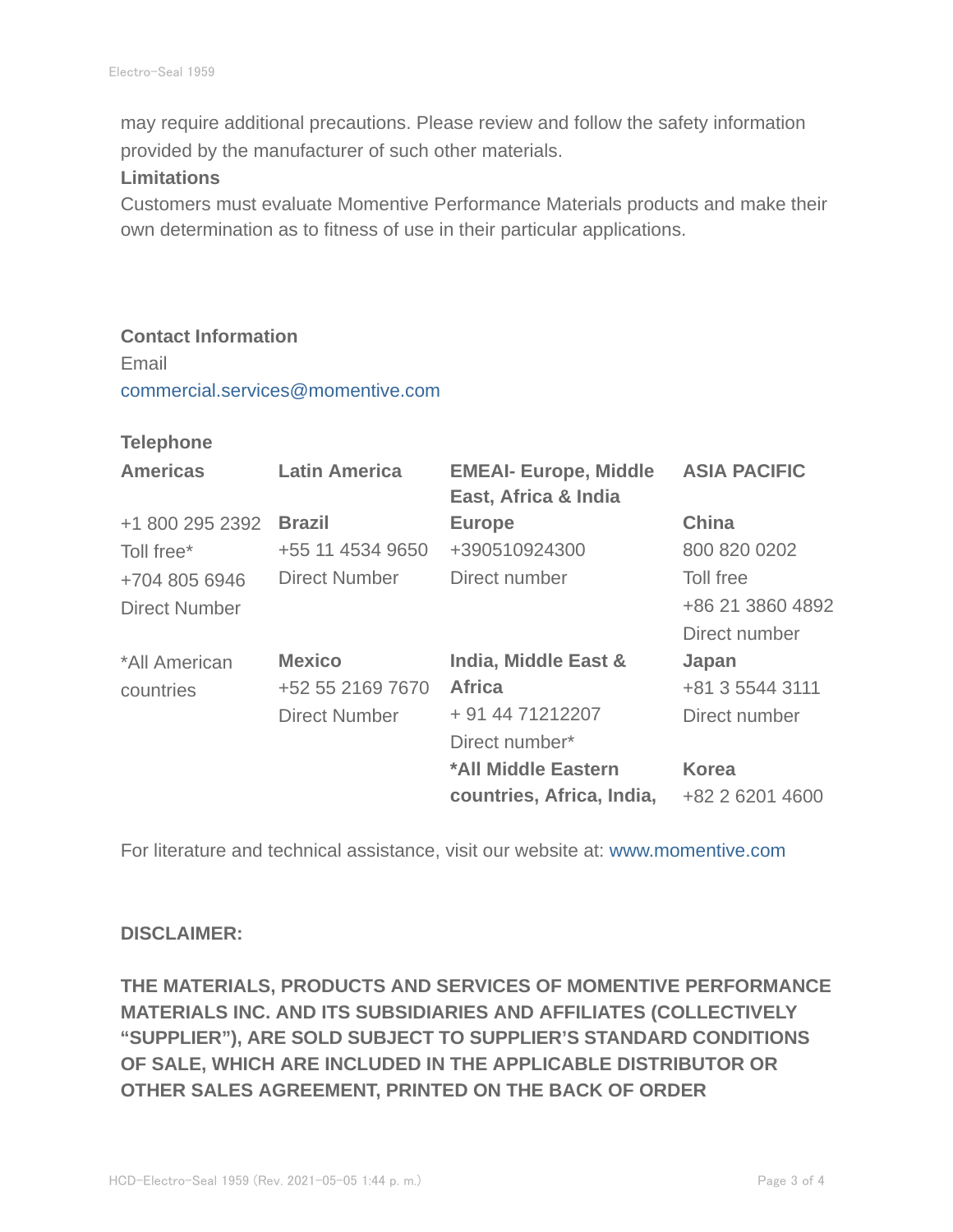may require additional precautions. Please review and follow the safety information provided by the manufacturer of such other materials.

#### **Limitations**

Customers must evaluate Momentive Performance Materials products and make their own determination as to fitness of use in their particular applications.

#### **Contact Information**

Email commercial.services@momentive.com

#### **Telephone**

| <b>Americas</b>      | <b>Latin America</b> | <b>EMEAI- Europe, Middle</b><br>East, Africa & India | <b>ASIA PACIFIC</b> |
|----------------------|----------------------|------------------------------------------------------|---------------------|
| +1 800 295 2392      | <b>Brazil</b>        | <b>Europe</b>                                        | <b>China</b>        |
| Toll free*           | +55 11 4534 9650     | +390510924300                                        | 800 820 0202        |
| +704 805 6946        | Direct Number        | Direct number                                        | Toll free           |
| <b>Direct Number</b> |                      |                                                      | +86 21 3860 4892    |
|                      |                      |                                                      | Direct number       |
| *All American        | <b>Mexico</b>        | India, Middle East &                                 | Japan               |
| countries            | +52 55 2169 7670     | <b>Africa</b>                                        | +81 3 5544 3111     |
|                      | <b>Direct Number</b> | + 91 44 71212207                                     | Direct number       |
|                      |                      | Direct number*                                       |                     |
|                      |                      | *All Middle Eastern                                  | <b>Korea</b>        |
|                      |                      | countries, Africa, India,                            | +82 2 6201 4600     |

For literature and technical assistance, visit our website at: www.momentive.com

#### **DISCLAIMER:**

**THE MATERIALS, PRODUCTS AND SERVICES OF MOMENTIVE PERFORMANCE MATERIALS INC. AND ITS SUBSIDIARIES AND AFFILIATES (COLLECTIVELY "SUPPLIER"), ARE SOLD SUBJECT TO SUPPLIER'S STANDARD CONDITIONS OF SALE, WHICH ARE INCLUDED IN THE APPLICABLE DISTRIBUTOR OR OTHER SALES AGREEMENT, PRINTED ON THE BACK OF ORDER**